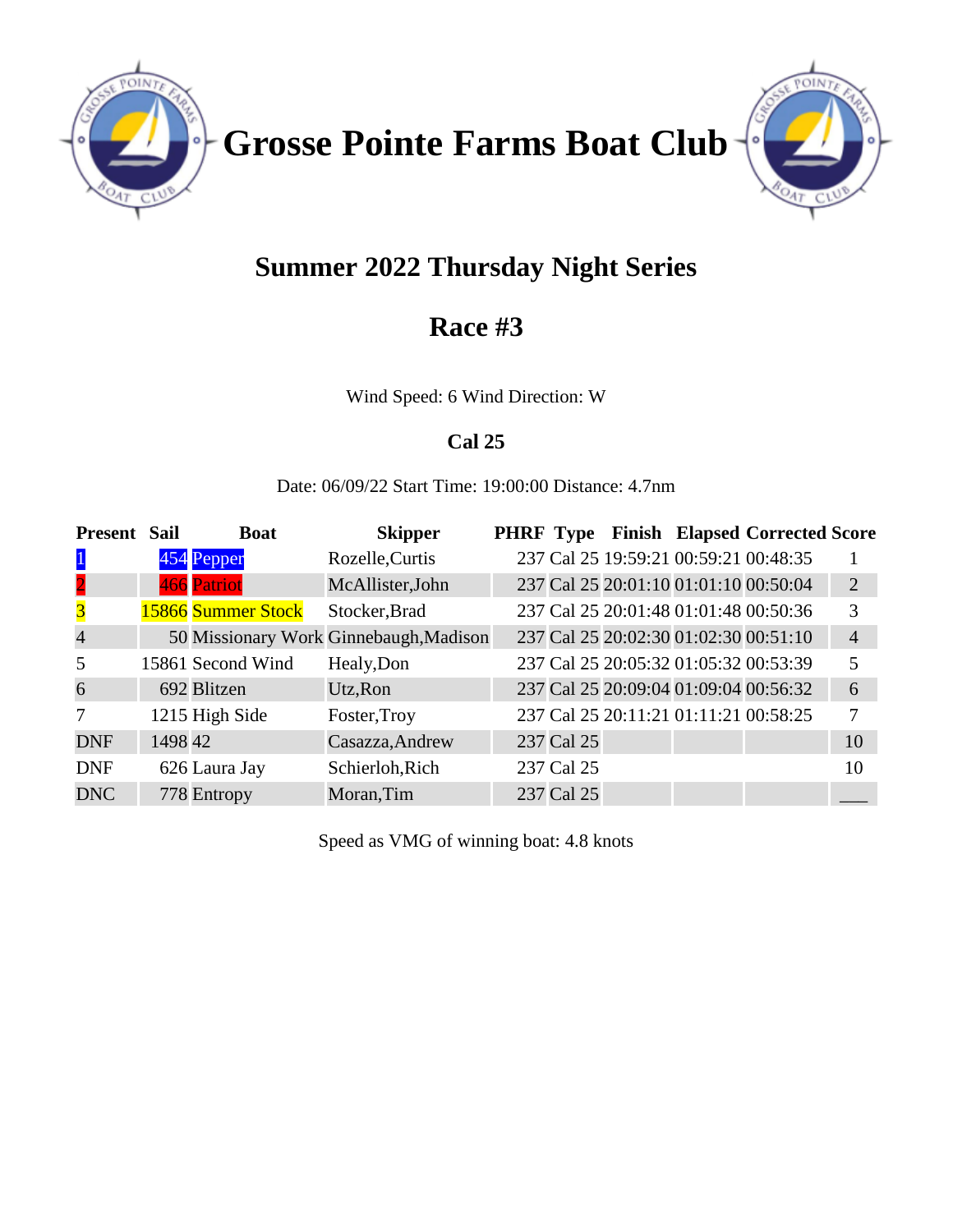

**Grosse Pointe Farms Boat Club**



# **Summer 2022 Thursday Night Series**

## **Race #3**

Wind Speed: 6 Wind Direction: W

## **Cal 25**

Date: 06/09/22 Start Time: 19:00:00 Distance: 4.7nm

| <b>Present</b>          | <b>Sail</b> | <b>Boat</b>        | <b>Skipper</b>                         |            |                                       | PHRF Type Finish Elapsed Corrected Score |                |
|-------------------------|-------------|--------------------|----------------------------------------|------------|---------------------------------------|------------------------------------------|----------------|
| $\mathbf{1}$            |             | 454 Pepper         | Rozelle, Curtis                        |            | 237 Cal 25 19:59:21 00:59:21 00:48:35 |                                          |                |
| $\overline{2}$          |             | 466 Patriot        | McAllister, John                       |            | 237 Cal 25 20:01:10 01:01:10 00:50:04 |                                          | 2              |
| $\overline{\mathbf{3}}$ |             | 15866 Summer Stock | Stocker, Brad                          |            |                                       | 237 Cal 25 20:01:48 01:01:48 00:50:36    | 3              |
| $\overline{4}$          |             |                    | 50 Missionary Work Ginnebaugh, Madison |            | 237 Cal 25 20:02:30 01:02:30 00:51:10 |                                          | $\overline{4}$ |
| 5                       |             | 15861 Second Wind  | Healy, Don                             |            | 237 Cal 25 20:05:32 01:05:32 00:53:39 |                                          | 5              |
| 6                       |             | 692 Blitzen        | Utz, Ron                               |            | 237 Cal 25 20:09:04 01:09:04 00:56:32 |                                          | 6              |
| $\tau$                  |             | 1215 High Side     | Foster, Troy                           |            | 237 Cal 25 20:11:21 01:11:21 00:58:25 |                                          | 7              |
| <b>DNF</b>              | 1498 42     |                    | Casazza, Andrew                        | 237 Cal 25 |                                       |                                          | 10             |
| <b>DNF</b>              |             | 626 Laura Jay      | Schierloh, Rich                        | 237 Cal 25 |                                       |                                          | 10             |
| <b>DNC</b>              |             | 778 Entropy        | Moran, Tim                             | 237 Cal 25 |                                       |                                          |                |

Speed as VMG of winning boat: 4.8 knots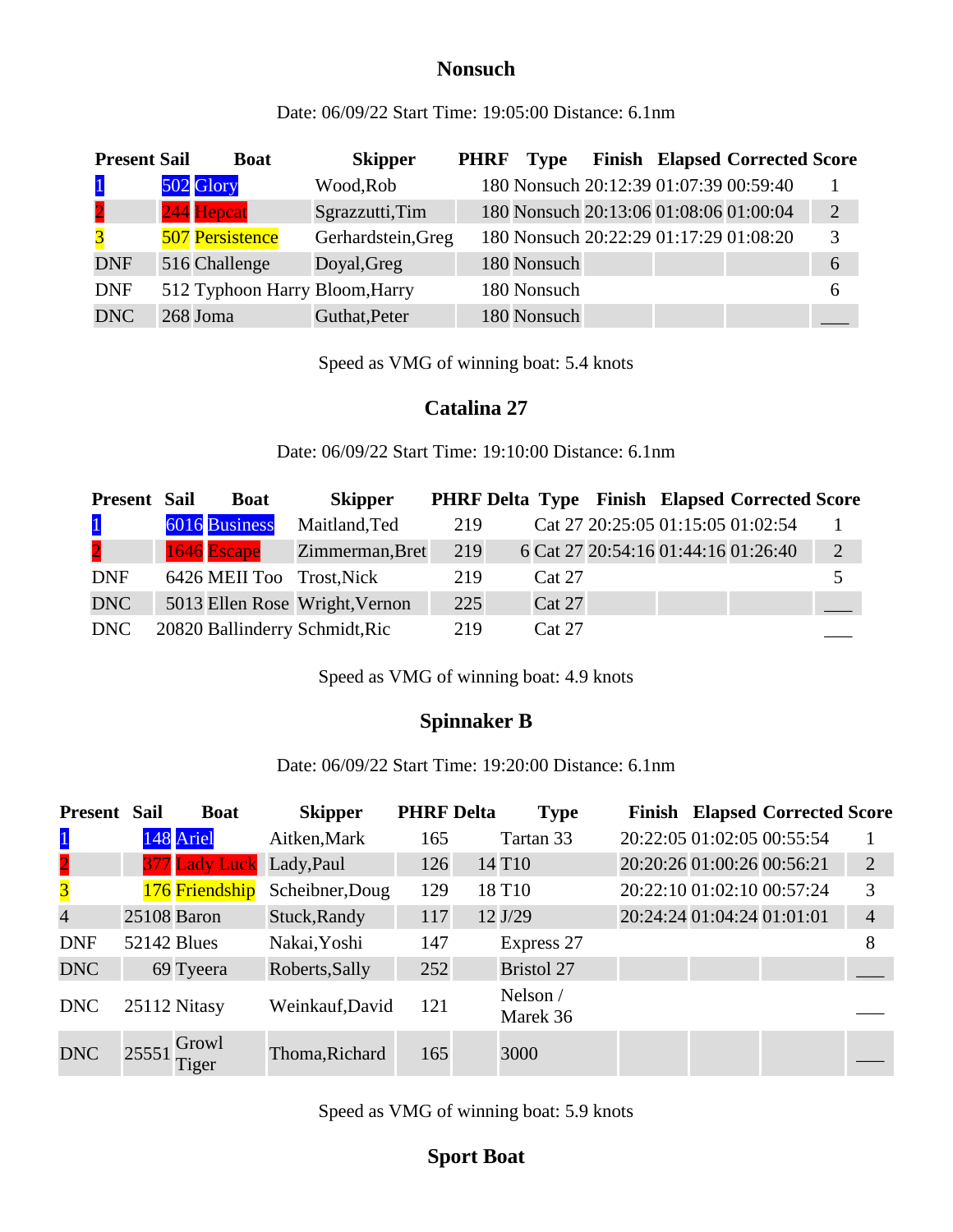### **Nonsuch**

Date: 06/09/22 Start Time: 19:05:00 Distance: 6.1nm

| <b>Present Sail</b> | <b>Boat</b>                    | <b>Skipper</b>     | <b>PHRF</b> | Type        |  | <b>Finish Elapsed Corrected Score</b>  |                |
|---------------------|--------------------------------|--------------------|-------------|-------------|--|----------------------------------------|----------------|
| $\vert$ 1           | 502 Glory                      | Wood, Rob          |             |             |  | 180 Nonsuch 20:12:39 01:07:39 00:59:40 |                |
| $\overline{2}$      | 244 Hepcat                     | Sgrazzutti, Tim    |             |             |  | 180 Nonsuch 20:13:06 01:08:06 01:00:04 | $\overline{2}$ |
| $\overline{3}$      | <b>507 Persistence</b>         | Gerhardstein, Greg |             |             |  | 180 Nonsuch 20:22:29 01:17:29 01:08:20 | 3              |
| <b>DNF</b>          | 516 Challenge                  | Doyal, Greg        |             | 180 Nonsuch |  |                                        | 6              |
| <b>DNF</b>          | 512 Typhoon Harry Bloom, Harry |                    |             | 180 Nonsuch |  |                                        | <sub>0</sub>   |
| <b>DNC</b>          | 268 Joma                       | Guthat, Peter      |             | 180 Nonsuch |  |                                        |                |

Speed as VMG of winning boat: 5.4 knots

#### **Catalina 27**

Date: 06/09/22 Start Time: 19:10:00 Distance: 6.1nm

| <b>Present Sail</b>     | <b>Boat</b>               | <b>Skipper</b>                 |     |        |  | <b>PHRF Delta Type Finish Elapsed Corrected Score</b> |                |
|-------------------------|---------------------------|--------------------------------|-----|--------|--|-------------------------------------------------------|----------------|
| $\mathbf{1}$            | 6016 Business             | Maitland, Ted                  | 219 |        |  | Cat 27 20:25:05 01:15:05 01:02:54                     |                |
| $\overline{\mathbf{2}}$ | 1646 Escape               | Zimmerman, Bret                | 219 |        |  | 6 Cat 27 20:54:16 01:44:16 01:26:40                   | $\overline{2}$ |
| <b>DNF</b>              | 6426 MEII Too Trost, Nick |                                | 219 | Cat 27 |  |                                                       |                |
| <b>DNC</b>              |                           | 5013 Ellen Rose Wright, Vernon | 225 | Cat 27 |  |                                                       |                |
| DNC                     |                           | 20820 Ballinderry Schmidt, Ric | 219 | Cat 27 |  |                                                       |                |

Speed as VMG of winning boat: 4.9 knots

### **Spinnaker B**

Date: 06/09/22 Start Time: 19:20:00 Distance: 6.1nm

| Present                 | <b>Sail</b>        | <b>Boat</b>    | <b>Skipper</b>  | <b>PHRF Delta</b> | <b>Type</b>            |                            |                            | <b>Finish Elapsed Corrected Score</b> |                |
|-------------------------|--------------------|----------------|-----------------|-------------------|------------------------|----------------------------|----------------------------|---------------------------------------|----------------|
| $\vert$ 1               |                    | 148 Ariel      | Aitken, Mark    | 165               | Tartan 33              |                            | 20:22:05 01:02:05 00:55:54 |                                       |                |
| $\overline{\mathbf{2}}$ |                    | 377 Lady Luck  | Lady, Paul      | 126               | 14 T <sub>10</sub>     | 20:20:26 01:00:26 00:56:21 |                            |                                       | $\overline{2}$ |
| $\overline{\mathbf{3}}$ |                    | 176 Friendship | Scheibner, Doug | 129               | 18 T <sub>10</sub>     | 20:22:10 01:02:10 00:57:24 |                            |                                       | 3              |
| $\overline{4}$          |                    | 25108 Baron    | Stuck, Randy    | 117               | 12 J/29                | 20:24:24 01:04:24 01:01:01 |                            |                                       | $\overline{4}$ |
| <b>DNF</b>              | <b>52142 Blues</b> |                | Nakai, Yoshi    | 147               | Express 27             |                            |                            |                                       | 8              |
| <b>DNC</b>              |                    | 69 Tyeera      | Roberts, Sally  | 252               | <b>Bristol 27</b>      |                            |                            |                                       |                |
| <b>DNC</b>              |                    | 25112 Nitasy   | Weinkauf, David | 121               | Nelson $/$<br>Marek 36 |                            |                            |                                       |                |
| <b>DNC</b>              | 25551              | Growl<br>Tiger | Thoma, Richard  | 165               | 3000                   |                            |                            |                                       |                |

Speed as VMG of winning boat: 5.9 knots

## **Sport Boat**